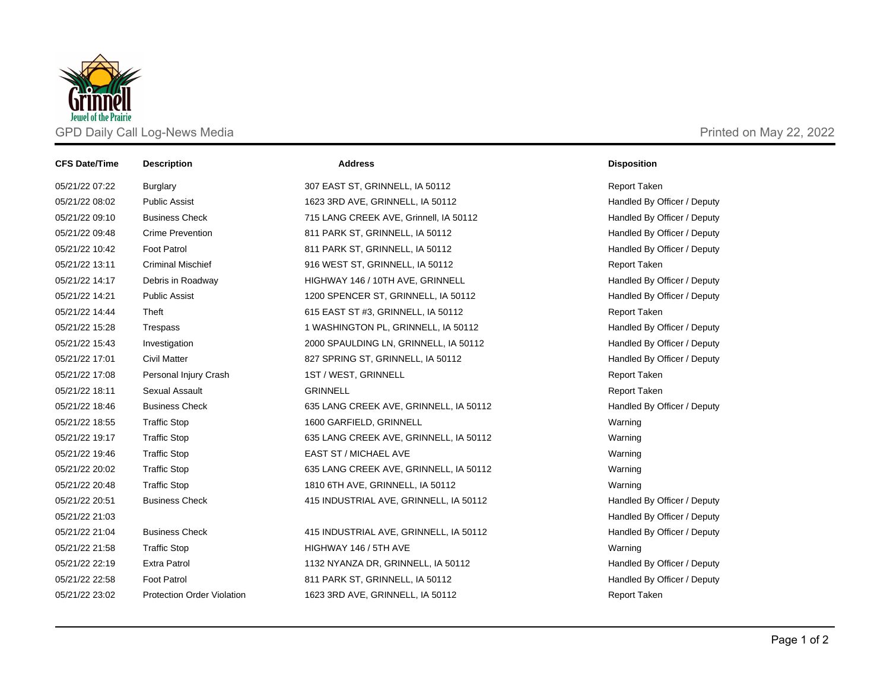

| <b>CFS Date/Time</b> | <b>Description</b>                | <b>Address</b>                         | <b>Disposition</b>          |
|----------------------|-----------------------------------|----------------------------------------|-----------------------------|
| 05/21/22 07:22       | Burglary                          | 307 EAST ST, GRINNELL, IA 50112        | <b>Report Taken</b>         |
| 05/21/22 08:02       | <b>Public Assist</b>              | 1623 3RD AVE, GRINNELL, IA 50112       | Handled By Officer / Deputy |
| 05/21/22 09:10       | <b>Business Check</b>             | 715 LANG CREEK AVE, Grinnell, IA 50112 | Handled By Officer / Deputy |
| 05/21/22 09:48       | <b>Crime Prevention</b>           | 811 PARK ST, GRINNELL, IA 50112        | Handled By Officer / Deputy |
| 05/21/22 10:42       | <b>Foot Patrol</b>                | 811 PARK ST, GRINNELL, IA 50112        | Handled By Officer / Deputy |
| 05/21/22 13:11       | <b>Criminal Mischief</b>          | 916 WEST ST, GRINNELL, IA 50112        | <b>Report Taken</b>         |
| 05/21/22 14:17       | Debris in Roadway                 | HIGHWAY 146 / 10TH AVE, GRINNELL       | Handled By Officer / Deputy |
| 05/21/22 14:21       | <b>Public Assist</b>              | 1200 SPENCER ST, GRINNELL, IA 50112    | Handled By Officer / Deputy |
| 05/21/22 14:44       | Theft                             | 615 EAST ST #3, GRINNELL, IA 50112     | <b>Report Taken</b>         |
| 05/21/22 15:28       | Trespass                          | 1 WASHINGTON PL, GRINNELL, IA 50112    | Handled By Officer / Deputy |
| 05/21/22 15:43       | Investigation                     | 2000 SPAULDING LN, GRINNELL, IA 50112  | Handled By Officer / Deputy |
| 05/21/22 17:01       | <b>Civil Matter</b>               | 827 SPRING ST, GRINNELL, IA 50112      | Handled By Officer / Deputy |
| 05/21/22 17:08       | Personal Injury Crash             | 1ST / WEST, GRINNELL                   | <b>Report Taken</b>         |
| 05/21/22 18:11       | Sexual Assault                    | <b>GRINNELL</b>                        | <b>Report Taken</b>         |
| 05/21/22 18:46       | <b>Business Check</b>             | 635 LANG CREEK AVE, GRINNELL, IA 50112 | Handled By Officer / Deputy |
| 05/21/22 18:55       | <b>Traffic Stop</b>               | 1600 GARFIELD, GRINNELL                | Warning                     |
| 05/21/22 19:17       | <b>Traffic Stop</b>               | 635 LANG CREEK AVE, GRINNELL, IA 50112 | Warning                     |
| 05/21/22 19:46       | <b>Traffic Stop</b>               | EAST ST / MICHAEL AVE                  | Warning                     |
| 05/21/22 20:02       | <b>Traffic Stop</b>               | 635 LANG CREEK AVE, GRINNELL, IA 50112 | Warning                     |
| 05/21/22 20:48       | <b>Traffic Stop</b>               | 1810 6TH AVE, GRINNELL, IA 50112       | Warning                     |
| 05/21/22 20:51       | <b>Business Check</b>             | 415 INDUSTRIAL AVE, GRINNELL, IA 50112 | Handled By Officer / Deputy |
| 05/21/22 21:03       |                                   |                                        | Handled By Officer / Deputy |
| 05/21/22 21:04       | <b>Business Check</b>             | 415 INDUSTRIAL AVE, GRINNELL, IA 50112 | Handled By Officer / Deputy |
| 05/21/22 21:58       | <b>Traffic Stop</b>               | HIGHWAY 146 / 5TH AVE                  | Warning                     |
| 05/21/22 22:19       | <b>Extra Patrol</b>               | 1132 NYANZA DR, GRINNELL, IA 50112     | Handled By Officer / Deputy |
| 05/21/22 22:58       | <b>Foot Patrol</b>                | 811 PARK ST, GRINNELL, IA 50112        | Handled By Officer / Deputy |
| 05/21/22 23:02       | <b>Protection Order Violation</b> | 1623 3RD AVE, GRINNELL, IA 50112       | Report Taken                |
|                      |                                   |                                        |                             |